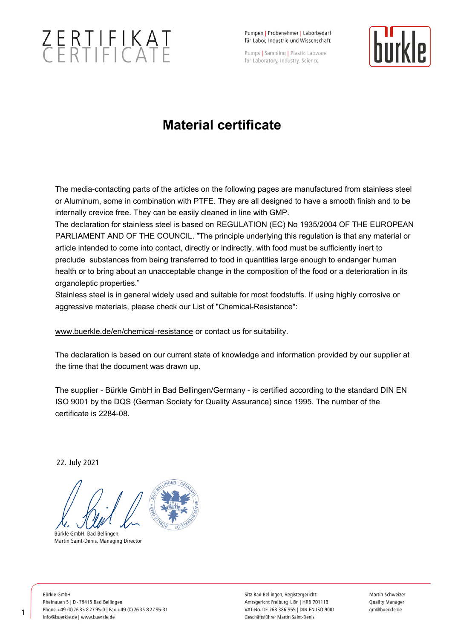## $ZERTIFIKATCFRTIFICATF$

Pumpen | Probenehmer | Laborhedarf für Labor, Industrie und Wissenschaft

Pumps | Sampling | Plastic Labware for Laboratory, Industry, Science



## **Material certificate**

The media-contacting parts of the articles on the following pages are manufactured from stainless steel or Aluminum, some in combination with PTFE. They are all designed to have a smooth finish and to be internally crevice free. They can be easily cleaned in line with GMP.

The declaration for stainless steel is based on REGULATION (EC) No 1935/2004 OF THE EUROPEAN PARLIAMENT AND OF THE COUNCIL. "The principle underlying this regulation is that any material or article intended to come into contact, directly or indirectly, with food must be sufficiently inert to preclude substances from being transferred to food in quantities large enough to endanger human health or to bring about an unacceptable change in the composition of the food or a deterioration in its organoleptic properties."

Stainless steel is in general widely used and suitable for most foodstuffs. If using highly corrosive or aggressive materials, please check our List of "Chemical-Resistance":

[www.buerkle.de/en/chemical-resistance](https://www.buerkle.de/en/chemical-resistance) or contact us for suitability.

The declaration is based on our current state of knowledge and information provided by our supplier at the time that the document was drawn up.

The supplier - Bürkle GmbH in Bad Bellingen/Germany - is certified according to the standard DIN EN ISO 9001 by the DQS (German Society for Quality Assurance) since 1995. The number of the certificate is 2284-08.

22. July 2021

Bürkle GmbH, Bad Bellingen, Martin Saint-Denis, Managing Director

Bürkle GmbH Rheinauen 5 | D - 79415 Bad Bellingen Phone +49 (0) 76 35 8 27 95-0 | Fax +49 (0) 76 35 8 27 95-31 info@buerkle.de | www.buerkle.de

Sitz Bad Bellingen, Registergericht: Amtsgericht Freiburg i. Br. | HRB 701113 VAT-No. DE 263 386 955 | DIN EN ISO 9001 Geschäftsführer Martin Saint-Denis

Martin Schweizer Quality Manager qm@buerkle.de

1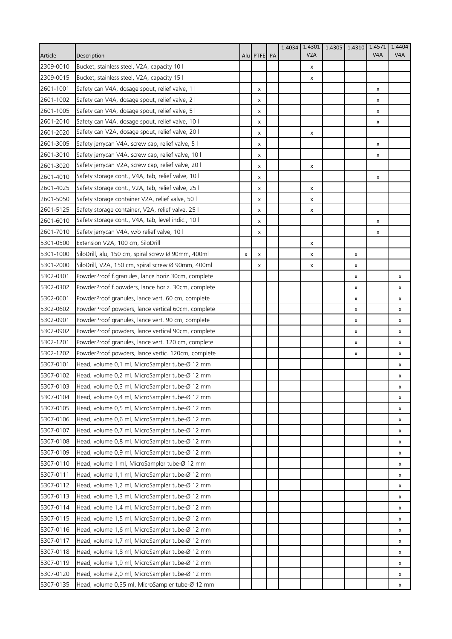| V2A<br>V <sub>4</sub> A<br>V <sub>4</sub> A<br>Article<br>Description<br>Alu PTFE PA<br>2309-0010<br>Bucket, stainless steel, V2A, capacity 10 l<br>x<br>2309-0015<br>Bucket, stainless steel, V2A, capacity 15 l<br>x<br>2601-1001<br>Safety can V4A, dosage spout, relief valve, 1 l<br>X<br>x<br>2601-1002<br>Safety can V4A, dosage spout, relief valve, 2 l<br>x<br>X<br>2601-1005<br>Safety can V4A, dosage spout, relief valve, 5 l<br>x<br>x<br>2601-2010<br>Safety can V4A, dosage spout, relief valve, 10 I<br>x<br>x<br>Safety can V2A, dosage spout, relief valve, 20 l<br>2601-2020<br>x<br>x<br>2601-3005<br>Safety jerrycan V4A, screw cap, relief valve, 5 l<br>x<br>х<br>2601-3010<br>Safety jerrycan V4A, screw cap, relief valve, 10 l<br>x<br>х<br>Safety jerrycan V2A, screw cap, relief valve, 20 l<br>2601-3020<br>x<br>x<br>Safety storage cont., V4A, tab, relief valve, 10 l<br>2601-4010<br>X<br>x<br>2601-4025<br>Safety storage cont., V2A, tab, relief valve, 25 l<br>x<br>х<br>2601-5050<br>Safety storage container V2A, relief valve, 50 l<br>x<br>х<br>Safety storage container, V2A, relief valve, 25 l<br>2601-5125<br>x<br>x<br>Safety storage cont., V4A, tab, level indic., 10 l<br>2601-6010<br>x<br>x<br>2601-7010<br>Safety jerrycan V4A, w/o relief valve, 10 l<br>X<br>x<br>5301-0500<br>Extension V2A, 100 cm, SiloDrill<br>x<br>5301-1000<br>SiloDrill, alu, 150 cm, spiral screw Ø 90mm, 400ml<br>X<br>x<br>x<br>x<br>SiloDrill, V2A, 150 cm, spiral screw Ø 90mm, 400ml<br>5301-2000<br>x<br>x<br>x<br>5302-0301<br>PowderProof f.granules, lance horiz.30cm, complete<br>x<br>x<br>5302-0302<br>PowderProof f.powders, lance horiz. 30cm, complete<br>x<br>x<br>5302-0601<br>PowderProof granules, lance vert. 60 cm, complete<br>x<br>x<br>5302-0602<br>PowderProof powders, lance vertical 60cm, complete<br>x<br>x<br>5302-0901<br>PowderProof granules, lance vert. 90 cm, complete<br>x<br>x<br>5302-0902<br>PowderProof powders, lance vertical 90cm, complete<br>x<br>x<br>5302-1201<br>PowderProof granules, lance vert. 120 cm, complete<br>x<br>x<br>5302-1202<br>PowderProof powders, lance vertic. 120cm, complete<br>x<br>x<br>5307-0101<br>Head, volume 0,1 ml, MicroSampler tube-Ø 12 mm<br>х<br>5307-0102<br>Head, volume 0,2 ml, MicroSampler tube-Ø 12 mm<br>x<br>Head, volume 0,3 ml, MicroSampler tube-Ø 12 mm<br>5307-0103<br>x<br>5307-0104<br>Head, volume 0,4 ml, MicroSampler tube-Ø 12 mm<br>x<br>5307-0105<br>Head, volume 0,5 ml, MicroSampler tube-Ø 12 mm<br>х<br>5307-0106<br>Head, volume 0,6 ml, MicroSampler tube-Ø 12 mm<br>x<br>5307-0107<br>Head, volume 0,7 ml, MicroSampler tube-Ø 12 mm<br>x<br>5307-0108<br>Head, volume 0,8 ml, MicroSampler tube-Ø 12 mm<br>x<br>5307-0109<br>Head, volume 0,9 ml, MicroSampler tube-Ø 12 mm<br>x<br>5307-0110<br>Head, volume 1 ml, MicroSampler tube-Ø 12 mm<br>x<br>5307-0111<br>Head, volume 1,1 ml, MicroSampler tube-Ø 12 mm<br>x<br>5307-0112<br>Head, volume 1,2 ml, MicroSampler tube-Ø 12 mm<br>x<br>5307-0113<br>Head, volume 1,3 ml, MicroSampler tube-Ø 12 mm<br>x<br>5307-0114<br>Head, volume 1,4 ml, MicroSampler tube-Ø 12 mm<br>x<br>5307-0115<br>Head, volume 1,5 ml, MicroSampler tube-Ø 12 mm<br>x<br>5307-0116<br>Head, volume 1,6 ml, MicroSampler tube-Ø 12 mm<br>x<br>5307-0117<br>Head, volume 1,7 ml, MicroSampler tube-Ø 12 mm<br>x<br>5307-0118<br>Head, volume 1,8 ml, MicroSampler tube-Ø 12 mm<br>x<br>5307-0119<br>Head, volume 1,9 ml, MicroSampler tube-Ø 12 mm<br>x<br>5307-0120<br>Head, volume 2,0 ml, MicroSampler tube-Ø 12 mm<br>х<br>5307-0135<br>Head, volume 0,35 ml, MicroSampler tube-Ø 12 mm<br>x |  |  | 1.4034 | 1.4301 | 1.4305 | 1.4310 1.4571 | 1.4404 |
|------------------------------------------------------------------------------------------------------------------------------------------------------------------------------------------------------------------------------------------------------------------------------------------------------------------------------------------------------------------------------------------------------------------------------------------------------------------------------------------------------------------------------------------------------------------------------------------------------------------------------------------------------------------------------------------------------------------------------------------------------------------------------------------------------------------------------------------------------------------------------------------------------------------------------------------------------------------------------------------------------------------------------------------------------------------------------------------------------------------------------------------------------------------------------------------------------------------------------------------------------------------------------------------------------------------------------------------------------------------------------------------------------------------------------------------------------------------------------------------------------------------------------------------------------------------------------------------------------------------------------------------------------------------------------------------------------------------------------------------------------------------------------------------------------------------------------------------------------------------------------------------------------------------------------------------------------------------------------------------------------------------------------------------------------------------------------------------------------------------------------------------------------------------------------------------------------------------------------------------------------------------------------------------------------------------------------------------------------------------------------------------------------------------------------------------------------------------------------------------------------------------------------------------------------------------------------------------------------------------------------------------------------------------------------------------------------------------------------------------------------------------------------------------------------------------------------------------------------------------------------------------------------------------------------------------------------------------------------------------------------------------------------------------------------------------------------------------------------------------------------------------------------------------------------------------------------------------------------------------------------------------------------------------------------------------------------------------------------------------------------------------------------------------------------------------------------------------------------------------------------------------------------------------------------------------------------------------------------------------------------------------------------------------------------|--|--|--------|--------|--------|---------------|--------|
|                                                                                                                                                                                                                                                                                                                                                                                                                                                                                                                                                                                                                                                                                                                                                                                                                                                                                                                                                                                                                                                                                                                                                                                                                                                                                                                                                                                                                                                                                                                                                                                                                                                                                                                                                                                                                                                                                                                                                                                                                                                                                                                                                                                                                                                                                                                                                                                                                                                                                                                                                                                                                                                                                                                                                                                                                                                                                                                                                                                                                                                                                                                                                                                                                                                                                                                                                                                                                                                                                                                                                                                                                                                                              |  |  |        |        |        |               |        |
|                                                                                                                                                                                                                                                                                                                                                                                                                                                                                                                                                                                                                                                                                                                                                                                                                                                                                                                                                                                                                                                                                                                                                                                                                                                                                                                                                                                                                                                                                                                                                                                                                                                                                                                                                                                                                                                                                                                                                                                                                                                                                                                                                                                                                                                                                                                                                                                                                                                                                                                                                                                                                                                                                                                                                                                                                                                                                                                                                                                                                                                                                                                                                                                                                                                                                                                                                                                                                                                                                                                                                                                                                                                                              |  |  |        |        |        |               |        |
|                                                                                                                                                                                                                                                                                                                                                                                                                                                                                                                                                                                                                                                                                                                                                                                                                                                                                                                                                                                                                                                                                                                                                                                                                                                                                                                                                                                                                                                                                                                                                                                                                                                                                                                                                                                                                                                                                                                                                                                                                                                                                                                                                                                                                                                                                                                                                                                                                                                                                                                                                                                                                                                                                                                                                                                                                                                                                                                                                                                                                                                                                                                                                                                                                                                                                                                                                                                                                                                                                                                                                                                                                                                                              |  |  |        |        |        |               |        |
|                                                                                                                                                                                                                                                                                                                                                                                                                                                                                                                                                                                                                                                                                                                                                                                                                                                                                                                                                                                                                                                                                                                                                                                                                                                                                                                                                                                                                                                                                                                                                                                                                                                                                                                                                                                                                                                                                                                                                                                                                                                                                                                                                                                                                                                                                                                                                                                                                                                                                                                                                                                                                                                                                                                                                                                                                                                                                                                                                                                                                                                                                                                                                                                                                                                                                                                                                                                                                                                                                                                                                                                                                                                                              |  |  |        |        |        |               |        |
|                                                                                                                                                                                                                                                                                                                                                                                                                                                                                                                                                                                                                                                                                                                                                                                                                                                                                                                                                                                                                                                                                                                                                                                                                                                                                                                                                                                                                                                                                                                                                                                                                                                                                                                                                                                                                                                                                                                                                                                                                                                                                                                                                                                                                                                                                                                                                                                                                                                                                                                                                                                                                                                                                                                                                                                                                                                                                                                                                                                                                                                                                                                                                                                                                                                                                                                                                                                                                                                                                                                                                                                                                                                                              |  |  |        |        |        |               |        |
|                                                                                                                                                                                                                                                                                                                                                                                                                                                                                                                                                                                                                                                                                                                                                                                                                                                                                                                                                                                                                                                                                                                                                                                                                                                                                                                                                                                                                                                                                                                                                                                                                                                                                                                                                                                                                                                                                                                                                                                                                                                                                                                                                                                                                                                                                                                                                                                                                                                                                                                                                                                                                                                                                                                                                                                                                                                                                                                                                                                                                                                                                                                                                                                                                                                                                                                                                                                                                                                                                                                                                                                                                                                                              |  |  |        |        |        |               |        |
|                                                                                                                                                                                                                                                                                                                                                                                                                                                                                                                                                                                                                                                                                                                                                                                                                                                                                                                                                                                                                                                                                                                                                                                                                                                                                                                                                                                                                                                                                                                                                                                                                                                                                                                                                                                                                                                                                                                                                                                                                                                                                                                                                                                                                                                                                                                                                                                                                                                                                                                                                                                                                                                                                                                                                                                                                                                                                                                                                                                                                                                                                                                                                                                                                                                                                                                                                                                                                                                                                                                                                                                                                                                                              |  |  |        |        |        |               |        |
|                                                                                                                                                                                                                                                                                                                                                                                                                                                                                                                                                                                                                                                                                                                                                                                                                                                                                                                                                                                                                                                                                                                                                                                                                                                                                                                                                                                                                                                                                                                                                                                                                                                                                                                                                                                                                                                                                                                                                                                                                                                                                                                                                                                                                                                                                                                                                                                                                                                                                                                                                                                                                                                                                                                                                                                                                                                                                                                                                                                                                                                                                                                                                                                                                                                                                                                                                                                                                                                                                                                                                                                                                                                                              |  |  |        |        |        |               |        |
|                                                                                                                                                                                                                                                                                                                                                                                                                                                                                                                                                                                                                                                                                                                                                                                                                                                                                                                                                                                                                                                                                                                                                                                                                                                                                                                                                                                                                                                                                                                                                                                                                                                                                                                                                                                                                                                                                                                                                                                                                                                                                                                                                                                                                                                                                                                                                                                                                                                                                                                                                                                                                                                                                                                                                                                                                                                                                                                                                                                                                                                                                                                                                                                                                                                                                                                                                                                                                                                                                                                                                                                                                                                                              |  |  |        |        |        |               |        |
|                                                                                                                                                                                                                                                                                                                                                                                                                                                                                                                                                                                                                                                                                                                                                                                                                                                                                                                                                                                                                                                                                                                                                                                                                                                                                                                                                                                                                                                                                                                                                                                                                                                                                                                                                                                                                                                                                                                                                                                                                                                                                                                                                                                                                                                                                                                                                                                                                                                                                                                                                                                                                                                                                                                                                                                                                                                                                                                                                                                                                                                                                                                                                                                                                                                                                                                                                                                                                                                                                                                                                                                                                                                                              |  |  |        |        |        |               |        |
|                                                                                                                                                                                                                                                                                                                                                                                                                                                                                                                                                                                                                                                                                                                                                                                                                                                                                                                                                                                                                                                                                                                                                                                                                                                                                                                                                                                                                                                                                                                                                                                                                                                                                                                                                                                                                                                                                                                                                                                                                                                                                                                                                                                                                                                                                                                                                                                                                                                                                                                                                                                                                                                                                                                                                                                                                                                                                                                                                                                                                                                                                                                                                                                                                                                                                                                                                                                                                                                                                                                                                                                                                                                                              |  |  |        |        |        |               |        |
|                                                                                                                                                                                                                                                                                                                                                                                                                                                                                                                                                                                                                                                                                                                                                                                                                                                                                                                                                                                                                                                                                                                                                                                                                                                                                                                                                                                                                                                                                                                                                                                                                                                                                                                                                                                                                                                                                                                                                                                                                                                                                                                                                                                                                                                                                                                                                                                                                                                                                                                                                                                                                                                                                                                                                                                                                                                                                                                                                                                                                                                                                                                                                                                                                                                                                                                                                                                                                                                                                                                                                                                                                                                                              |  |  |        |        |        |               |        |
|                                                                                                                                                                                                                                                                                                                                                                                                                                                                                                                                                                                                                                                                                                                                                                                                                                                                                                                                                                                                                                                                                                                                                                                                                                                                                                                                                                                                                                                                                                                                                                                                                                                                                                                                                                                                                                                                                                                                                                                                                                                                                                                                                                                                                                                                                                                                                                                                                                                                                                                                                                                                                                                                                                                                                                                                                                                                                                                                                                                                                                                                                                                                                                                                                                                                                                                                                                                                                                                                                                                                                                                                                                                                              |  |  |        |        |        |               |        |
|                                                                                                                                                                                                                                                                                                                                                                                                                                                                                                                                                                                                                                                                                                                                                                                                                                                                                                                                                                                                                                                                                                                                                                                                                                                                                                                                                                                                                                                                                                                                                                                                                                                                                                                                                                                                                                                                                                                                                                                                                                                                                                                                                                                                                                                                                                                                                                                                                                                                                                                                                                                                                                                                                                                                                                                                                                                                                                                                                                                                                                                                                                                                                                                                                                                                                                                                                                                                                                                                                                                                                                                                                                                                              |  |  |        |        |        |               |        |
|                                                                                                                                                                                                                                                                                                                                                                                                                                                                                                                                                                                                                                                                                                                                                                                                                                                                                                                                                                                                                                                                                                                                                                                                                                                                                                                                                                                                                                                                                                                                                                                                                                                                                                                                                                                                                                                                                                                                                                                                                                                                                                                                                                                                                                                                                                                                                                                                                                                                                                                                                                                                                                                                                                                                                                                                                                                                                                                                                                                                                                                                                                                                                                                                                                                                                                                                                                                                                                                                                                                                                                                                                                                                              |  |  |        |        |        |               |        |
|                                                                                                                                                                                                                                                                                                                                                                                                                                                                                                                                                                                                                                                                                                                                                                                                                                                                                                                                                                                                                                                                                                                                                                                                                                                                                                                                                                                                                                                                                                                                                                                                                                                                                                                                                                                                                                                                                                                                                                                                                                                                                                                                                                                                                                                                                                                                                                                                                                                                                                                                                                                                                                                                                                                                                                                                                                                                                                                                                                                                                                                                                                                                                                                                                                                                                                                                                                                                                                                                                                                                                                                                                                                                              |  |  |        |        |        |               |        |
|                                                                                                                                                                                                                                                                                                                                                                                                                                                                                                                                                                                                                                                                                                                                                                                                                                                                                                                                                                                                                                                                                                                                                                                                                                                                                                                                                                                                                                                                                                                                                                                                                                                                                                                                                                                                                                                                                                                                                                                                                                                                                                                                                                                                                                                                                                                                                                                                                                                                                                                                                                                                                                                                                                                                                                                                                                                                                                                                                                                                                                                                                                                                                                                                                                                                                                                                                                                                                                                                                                                                                                                                                                                                              |  |  |        |        |        |               |        |
|                                                                                                                                                                                                                                                                                                                                                                                                                                                                                                                                                                                                                                                                                                                                                                                                                                                                                                                                                                                                                                                                                                                                                                                                                                                                                                                                                                                                                                                                                                                                                                                                                                                                                                                                                                                                                                                                                                                                                                                                                                                                                                                                                                                                                                                                                                                                                                                                                                                                                                                                                                                                                                                                                                                                                                                                                                                                                                                                                                                                                                                                                                                                                                                                                                                                                                                                                                                                                                                                                                                                                                                                                                                                              |  |  |        |        |        |               |        |
|                                                                                                                                                                                                                                                                                                                                                                                                                                                                                                                                                                                                                                                                                                                                                                                                                                                                                                                                                                                                                                                                                                                                                                                                                                                                                                                                                                                                                                                                                                                                                                                                                                                                                                                                                                                                                                                                                                                                                                                                                                                                                                                                                                                                                                                                                                                                                                                                                                                                                                                                                                                                                                                                                                                                                                                                                                                                                                                                                                                                                                                                                                                                                                                                                                                                                                                                                                                                                                                                                                                                                                                                                                                                              |  |  |        |        |        |               |        |
|                                                                                                                                                                                                                                                                                                                                                                                                                                                                                                                                                                                                                                                                                                                                                                                                                                                                                                                                                                                                                                                                                                                                                                                                                                                                                                                                                                                                                                                                                                                                                                                                                                                                                                                                                                                                                                                                                                                                                                                                                                                                                                                                                                                                                                                                                                                                                                                                                                                                                                                                                                                                                                                                                                                                                                                                                                                                                                                                                                                                                                                                                                                                                                                                                                                                                                                                                                                                                                                                                                                                                                                                                                                                              |  |  |        |        |        |               |        |
|                                                                                                                                                                                                                                                                                                                                                                                                                                                                                                                                                                                                                                                                                                                                                                                                                                                                                                                                                                                                                                                                                                                                                                                                                                                                                                                                                                                                                                                                                                                                                                                                                                                                                                                                                                                                                                                                                                                                                                                                                                                                                                                                                                                                                                                                                                                                                                                                                                                                                                                                                                                                                                                                                                                                                                                                                                                                                                                                                                                                                                                                                                                                                                                                                                                                                                                                                                                                                                                                                                                                                                                                                                                                              |  |  |        |        |        |               |        |
|                                                                                                                                                                                                                                                                                                                                                                                                                                                                                                                                                                                                                                                                                                                                                                                                                                                                                                                                                                                                                                                                                                                                                                                                                                                                                                                                                                                                                                                                                                                                                                                                                                                                                                                                                                                                                                                                                                                                                                                                                                                                                                                                                                                                                                                                                                                                                                                                                                                                                                                                                                                                                                                                                                                                                                                                                                                                                                                                                                                                                                                                                                                                                                                                                                                                                                                                                                                                                                                                                                                                                                                                                                                                              |  |  |        |        |        |               |        |
|                                                                                                                                                                                                                                                                                                                                                                                                                                                                                                                                                                                                                                                                                                                                                                                                                                                                                                                                                                                                                                                                                                                                                                                                                                                                                                                                                                                                                                                                                                                                                                                                                                                                                                                                                                                                                                                                                                                                                                                                                                                                                                                                                                                                                                                                                                                                                                                                                                                                                                                                                                                                                                                                                                                                                                                                                                                                                                                                                                                                                                                                                                                                                                                                                                                                                                                                                                                                                                                                                                                                                                                                                                                                              |  |  |        |        |        |               |        |
|                                                                                                                                                                                                                                                                                                                                                                                                                                                                                                                                                                                                                                                                                                                                                                                                                                                                                                                                                                                                                                                                                                                                                                                                                                                                                                                                                                                                                                                                                                                                                                                                                                                                                                                                                                                                                                                                                                                                                                                                                                                                                                                                                                                                                                                                                                                                                                                                                                                                                                                                                                                                                                                                                                                                                                                                                                                                                                                                                                                                                                                                                                                                                                                                                                                                                                                                                                                                                                                                                                                                                                                                                                                                              |  |  |        |        |        |               |        |
|                                                                                                                                                                                                                                                                                                                                                                                                                                                                                                                                                                                                                                                                                                                                                                                                                                                                                                                                                                                                                                                                                                                                                                                                                                                                                                                                                                                                                                                                                                                                                                                                                                                                                                                                                                                                                                                                                                                                                                                                                                                                                                                                                                                                                                                                                                                                                                                                                                                                                                                                                                                                                                                                                                                                                                                                                                                                                                                                                                                                                                                                                                                                                                                                                                                                                                                                                                                                                                                                                                                                                                                                                                                                              |  |  |        |        |        |               |        |
|                                                                                                                                                                                                                                                                                                                                                                                                                                                                                                                                                                                                                                                                                                                                                                                                                                                                                                                                                                                                                                                                                                                                                                                                                                                                                                                                                                                                                                                                                                                                                                                                                                                                                                                                                                                                                                                                                                                                                                                                                                                                                                                                                                                                                                                                                                                                                                                                                                                                                                                                                                                                                                                                                                                                                                                                                                                                                                                                                                                                                                                                                                                                                                                                                                                                                                                                                                                                                                                                                                                                                                                                                                                                              |  |  |        |        |        |               |        |
|                                                                                                                                                                                                                                                                                                                                                                                                                                                                                                                                                                                                                                                                                                                                                                                                                                                                                                                                                                                                                                                                                                                                                                                                                                                                                                                                                                                                                                                                                                                                                                                                                                                                                                                                                                                                                                                                                                                                                                                                                                                                                                                                                                                                                                                                                                                                                                                                                                                                                                                                                                                                                                                                                                                                                                                                                                                                                                                                                                                                                                                                                                                                                                                                                                                                                                                                                                                                                                                                                                                                                                                                                                                                              |  |  |        |        |        |               |        |
|                                                                                                                                                                                                                                                                                                                                                                                                                                                                                                                                                                                                                                                                                                                                                                                                                                                                                                                                                                                                                                                                                                                                                                                                                                                                                                                                                                                                                                                                                                                                                                                                                                                                                                                                                                                                                                                                                                                                                                                                                                                                                                                                                                                                                                                                                                                                                                                                                                                                                                                                                                                                                                                                                                                                                                                                                                                                                                                                                                                                                                                                                                                                                                                                                                                                                                                                                                                                                                                                                                                                                                                                                                                                              |  |  |        |        |        |               |        |
|                                                                                                                                                                                                                                                                                                                                                                                                                                                                                                                                                                                                                                                                                                                                                                                                                                                                                                                                                                                                                                                                                                                                                                                                                                                                                                                                                                                                                                                                                                                                                                                                                                                                                                                                                                                                                                                                                                                                                                                                                                                                                                                                                                                                                                                                                                                                                                                                                                                                                                                                                                                                                                                                                                                                                                                                                                                                                                                                                                                                                                                                                                                                                                                                                                                                                                                                                                                                                                                                                                                                                                                                                                                                              |  |  |        |        |        |               |        |
|                                                                                                                                                                                                                                                                                                                                                                                                                                                                                                                                                                                                                                                                                                                                                                                                                                                                                                                                                                                                                                                                                                                                                                                                                                                                                                                                                                                                                                                                                                                                                                                                                                                                                                                                                                                                                                                                                                                                                                                                                                                                                                                                                                                                                                                                                                                                                                                                                                                                                                                                                                                                                                                                                                                                                                                                                                                                                                                                                                                                                                                                                                                                                                                                                                                                                                                                                                                                                                                                                                                                                                                                                                                                              |  |  |        |        |        |               |        |
|                                                                                                                                                                                                                                                                                                                                                                                                                                                                                                                                                                                                                                                                                                                                                                                                                                                                                                                                                                                                                                                                                                                                                                                                                                                                                                                                                                                                                                                                                                                                                                                                                                                                                                                                                                                                                                                                                                                                                                                                                                                                                                                                                                                                                                                                                                                                                                                                                                                                                                                                                                                                                                                                                                                                                                                                                                                                                                                                                                                                                                                                                                                                                                                                                                                                                                                                                                                                                                                                                                                                                                                                                                                                              |  |  |        |        |        |               |        |
|                                                                                                                                                                                                                                                                                                                                                                                                                                                                                                                                                                                                                                                                                                                                                                                                                                                                                                                                                                                                                                                                                                                                                                                                                                                                                                                                                                                                                                                                                                                                                                                                                                                                                                                                                                                                                                                                                                                                                                                                                                                                                                                                                                                                                                                                                                                                                                                                                                                                                                                                                                                                                                                                                                                                                                                                                                                                                                                                                                                                                                                                                                                                                                                                                                                                                                                                                                                                                                                                                                                                                                                                                                                                              |  |  |        |        |        |               |        |
|                                                                                                                                                                                                                                                                                                                                                                                                                                                                                                                                                                                                                                                                                                                                                                                                                                                                                                                                                                                                                                                                                                                                                                                                                                                                                                                                                                                                                                                                                                                                                                                                                                                                                                                                                                                                                                                                                                                                                                                                                                                                                                                                                                                                                                                                                                                                                                                                                                                                                                                                                                                                                                                                                                                                                                                                                                                                                                                                                                                                                                                                                                                                                                                                                                                                                                                                                                                                                                                                                                                                                                                                                                                                              |  |  |        |        |        |               |        |
|                                                                                                                                                                                                                                                                                                                                                                                                                                                                                                                                                                                                                                                                                                                                                                                                                                                                                                                                                                                                                                                                                                                                                                                                                                                                                                                                                                                                                                                                                                                                                                                                                                                                                                                                                                                                                                                                                                                                                                                                                                                                                                                                                                                                                                                                                                                                                                                                                                                                                                                                                                                                                                                                                                                                                                                                                                                                                                                                                                                                                                                                                                                                                                                                                                                                                                                                                                                                                                                                                                                                                                                                                                                                              |  |  |        |        |        |               |        |
|                                                                                                                                                                                                                                                                                                                                                                                                                                                                                                                                                                                                                                                                                                                                                                                                                                                                                                                                                                                                                                                                                                                                                                                                                                                                                                                                                                                                                                                                                                                                                                                                                                                                                                                                                                                                                                                                                                                                                                                                                                                                                                                                                                                                                                                                                                                                                                                                                                                                                                                                                                                                                                                                                                                                                                                                                                                                                                                                                                                                                                                                                                                                                                                                                                                                                                                                                                                                                                                                                                                                                                                                                                                                              |  |  |        |        |        |               |        |
|                                                                                                                                                                                                                                                                                                                                                                                                                                                                                                                                                                                                                                                                                                                                                                                                                                                                                                                                                                                                                                                                                                                                                                                                                                                                                                                                                                                                                                                                                                                                                                                                                                                                                                                                                                                                                                                                                                                                                                                                                                                                                                                                                                                                                                                                                                                                                                                                                                                                                                                                                                                                                                                                                                                                                                                                                                                                                                                                                                                                                                                                                                                                                                                                                                                                                                                                                                                                                                                                                                                                                                                                                                                                              |  |  |        |        |        |               |        |
|                                                                                                                                                                                                                                                                                                                                                                                                                                                                                                                                                                                                                                                                                                                                                                                                                                                                                                                                                                                                                                                                                                                                                                                                                                                                                                                                                                                                                                                                                                                                                                                                                                                                                                                                                                                                                                                                                                                                                                                                                                                                                                                                                                                                                                                                                                                                                                                                                                                                                                                                                                                                                                                                                                                                                                                                                                                                                                                                                                                                                                                                                                                                                                                                                                                                                                                                                                                                                                                                                                                                                                                                                                                                              |  |  |        |        |        |               |        |
|                                                                                                                                                                                                                                                                                                                                                                                                                                                                                                                                                                                                                                                                                                                                                                                                                                                                                                                                                                                                                                                                                                                                                                                                                                                                                                                                                                                                                                                                                                                                                                                                                                                                                                                                                                                                                                                                                                                                                                                                                                                                                                                                                                                                                                                                                                                                                                                                                                                                                                                                                                                                                                                                                                                                                                                                                                                                                                                                                                                                                                                                                                                                                                                                                                                                                                                                                                                                                                                                                                                                                                                                                                                                              |  |  |        |        |        |               |        |
|                                                                                                                                                                                                                                                                                                                                                                                                                                                                                                                                                                                                                                                                                                                                                                                                                                                                                                                                                                                                                                                                                                                                                                                                                                                                                                                                                                                                                                                                                                                                                                                                                                                                                                                                                                                                                                                                                                                                                                                                                                                                                                                                                                                                                                                                                                                                                                                                                                                                                                                                                                                                                                                                                                                                                                                                                                                                                                                                                                                                                                                                                                                                                                                                                                                                                                                                                                                                                                                                                                                                                                                                                                                                              |  |  |        |        |        |               |        |
|                                                                                                                                                                                                                                                                                                                                                                                                                                                                                                                                                                                                                                                                                                                                                                                                                                                                                                                                                                                                                                                                                                                                                                                                                                                                                                                                                                                                                                                                                                                                                                                                                                                                                                                                                                                                                                                                                                                                                                                                                                                                                                                                                                                                                                                                                                                                                                                                                                                                                                                                                                                                                                                                                                                                                                                                                                                                                                                                                                                                                                                                                                                                                                                                                                                                                                                                                                                                                                                                                                                                                                                                                                                                              |  |  |        |        |        |               |        |
|                                                                                                                                                                                                                                                                                                                                                                                                                                                                                                                                                                                                                                                                                                                                                                                                                                                                                                                                                                                                                                                                                                                                                                                                                                                                                                                                                                                                                                                                                                                                                                                                                                                                                                                                                                                                                                                                                                                                                                                                                                                                                                                                                                                                                                                                                                                                                                                                                                                                                                                                                                                                                                                                                                                                                                                                                                                                                                                                                                                                                                                                                                                                                                                                                                                                                                                                                                                                                                                                                                                                                                                                                                                                              |  |  |        |        |        |               |        |
|                                                                                                                                                                                                                                                                                                                                                                                                                                                                                                                                                                                                                                                                                                                                                                                                                                                                                                                                                                                                                                                                                                                                                                                                                                                                                                                                                                                                                                                                                                                                                                                                                                                                                                                                                                                                                                                                                                                                                                                                                                                                                                                                                                                                                                                                                                                                                                                                                                                                                                                                                                                                                                                                                                                                                                                                                                                                                                                                                                                                                                                                                                                                                                                                                                                                                                                                                                                                                                                                                                                                                                                                                                                                              |  |  |        |        |        |               |        |
|                                                                                                                                                                                                                                                                                                                                                                                                                                                                                                                                                                                                                                                                                                                                                                                                                                                                                                                                                                                                                                                                                                                                                                                                                                                                                                                                                                                                                                                                                                                                                                                                                                                                                                                                                                                                                                                                                                                                                                                                                                                                                                                                                                                                                                                                                                                                                                                                                                                                                                                                                                                                                                                                                                                                                                                                                                                                                                                                                                                                                                                                                                                                                                                                                                                                                                                                                                                                                                                                                                                                                                                                                                                                              |  |  |        |        |        |               |        |
|                                                                                                                                                                                                                                                                                                                                                                                                                                                                                                                                                                                                                                                                                                                                                                                                                                                                                                                                                                                                                                                                                                                                                                                                                                                                                                                                                                                                                                                                                                                                                                                                                                                                                                                                                                                                                                                                                                                                                                                                                                                                                                                                                                                                                                                                                                                                                                                                                                                                                                                                                                                                                                                                                                                                                                                                                                                                                                                                                                                                                                                                                                                                                                                                                                                                                                                                                                                                                                                                                                                                                                                                                                                                              |  |  |        |        |        |               |        |
|                                                                                                                                                                                                                                                                                                                                                                                                                                                                                                                                                                                                                                                                                                                                                                                                                                                                                                                                                                                                                                                                                                                                                                                                                                                                                                                                                                                                                                                                                                                                                                                                                                                                                                                                                                                                                                                                                                                                                                                                                                                                                                                                                                                                                                                                                                                                                                                                                                                                                                                                                                                                                                                                                                                                                                                                                                                                                                                                                                                                                                                                                                                                                                                                                                                                                                                                                                                                                                                                                                                                                                                                                                                                              |  |  |        |        |        |               |        |
|                                                                                                                                                                                                                                                                                                                                                                                                                                                                                                                                                                                                                                                                                                                                                                                                                                                                                                                                                                                                                                                                                                                                                                                                                                                                                                                                                                                                                                                                                                                                                                                                                                                                                                                                                                                                                                                                                                                                                                                                                                                                                                                                                                                                                                                                                                                                                                                                                                                                                                                                                                                                                                                                                                                                                                                                                                                                                                                                                                                                                                                                                                                                                                                                                                                                                                                                                                                                                                                                                                                                                                                                                                                                              |  |  |        |        |        |               |        |
|                                                                                                                                                                                                                                                                                                                                                                                                                                                                                                                                                                                                                                                                                                                                                                                                                                                                                                                                                                                                                                                                                                                                                                                                                                                                                                                                                                                                                                                                                                                                                                                                                                                                                                                                                                                                                                                                                                                                                                                                                                                                                                                                                                                                                                                                                                                                                                                                                                                                                                                                                                                                                                                                                                                                                                                                                                                                                                                                                                                                                                                                                                                                                                                                                                                                                                                                                                                                                                                                                                                                                                                                                                                                              |  |  |        |        |        |               |        |
|                                                                                                                                                                                                                                                                                                                                                                                                                                                                                                                                                                                                                                                                                                                                                                                                                                                                                                                                                                                                                                                                                                                                                                                                                                                                                                                                                                                                                                                                                                                                                                                                                                                                                                                                                                                                                                                                                                                                                                                                                                                                                                                                                                                                                                                                                                                                                                                                                                                                                                                                                                                                                                                                                                                                                                                                                                                                                                                                                                                                                                                                                                                                                                                                                                                                                                                                                                                                                                                                                                                                                                                                                                                                              |  |  |        |        |        |               |        |
|                                                                                                                                                                                                                                                                                                                                                                                                                                                                                                                                                                                                                                                                                                                                                                                                                                                                                                                                                                                                                                                                                                                                                                                                                                                                                                                                                                                                                                                                                                                                                                                                                                                                                                                                                                                                                                                                                                                                                                                                                                                                                                                                                                                                                                                                                                                                                                                                                                                                                                                                                                                                                                                                                                                                                                                                                                                                                                                                                                                                                                                                                                                                                                                                                                                                                                                                                                                                                                                                                                                                                                                                                                                                              |  |  |        |        |        |               |        |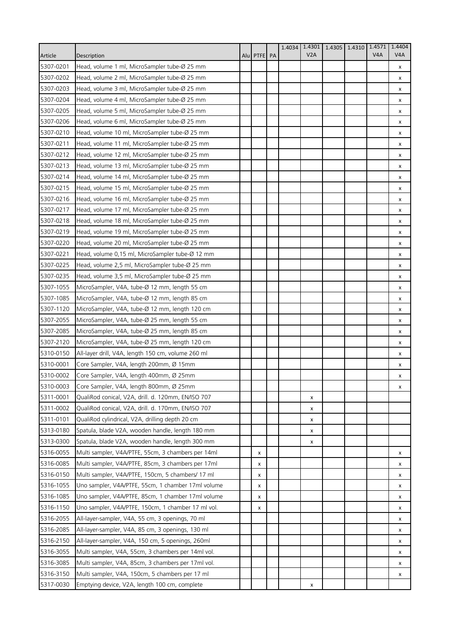|           |                                                    |              | 1.4034 | 1.4301 | 1.4305 | 1.4310 | 1.4571           | 1.4404           |
|-----------|----------------------------------------------------|--------------|--------|--------|--------|--------|------------------|------------------|
| Article   | Description                                        | Alul PTFE PA |        | V2A    |        |        | V <sub>4</sub> A | V <sub>4</sub> A |
| 5307-0201 | Head, volume 1 ml, MicroSampler tube-Ø 25 mm       |              |        |        |        |        |                  | x                |
| 5307-0202 | Head, volume 2 ml, MicroSampler tube-Ø 25 mm       |              |        |        |        |        |                  | x                |
| 5307-0203 | Head, volume 3 ml, MicroSampler tube-Ø 25 mm       |              |        |        |        |        |                  | x                |
| 5307-0204 | Head, volume 4 ml, MicroSampler tube-Ø 25 mm       |              |        |        |        |        |                  | x                |
| 5307-0205 | Head, volume 5 ml, MicroSampler tube-Ø 25 mm       |              |        |        |        |        |                  | x                |
| 5307-0206 | Head, volume 6 ml, MicroSampler tube-Ø 25 mm       |              |        |        |        |        |                  | x                |
| 5307-0210 | Head, volume 10 ml, MicroSampler tube-Ø 25 mm      |              |        |        |        |        |                  | x                |
| 5307-0211 | Head, volume 11 ml, MicroSampler tube-Ø 25 mm      |              |        |        |        |        |                  | x                |
| 5307-0212 | Head, volume 12 ml, MicroSampler tube-Ø 25 mm      |              |        |        |        |        |                  | x                |
| 5307-0213 | Head, volume 13 ml, MicroSampler tube-Ø 25 mm      |              |        |        |        |        |                  | x                |
| 5307-0214 | Head, volume 14 ml, MicroSampler tube-Ø 25 mm      |              |        |        |        |        |                  | x                |
| 5307-0215 | Head, volume 15 ml, MicroSampler tube-Ø 25 mm      |              |        |        |        |        |                  | x                |
| 5307-0216 | Head, volume 16 ml, MicroSampler tube-Ø 25 mm      |              |        |        |        |        |                  | x                |
| 5307-0217 | Head, volume 17 ml, MicroSampler tube-Ø 25 mm      |              |        |        |        |        |                  | x                |
| 5307-0218 | Head, volume 18 ml, MicroSampler tube-Ø 25 mm      |              |        |        |        |        |                  | x                |
| 5307-0219 | Head, volume 19 ml, MicroSampler tube-Ø 25 mm      |              |        |        |        |        |                  | x                |
| 5307-0220 | Head, volume 20 ml, MicroSampler tube-Ø 25 mm      |              |        |        |        |        |                  | x                |
| 5307-0221 | Head, volume 0,15 ml, MicroSampler tube-Ø 12 mm    |              |        |        |        |        |                  | x                |
| 5307-0225 | Head, volume 2,5 ml, MicroSampler tube-Ø 25 mm     |              |        |        |        |        |                  | x                |
| 5307-0235 | Head, volume 3,5 ml, MicroSampler tube-Ø 25 mm     |              |        |        |        |        |                  | x                |
| 5307-1055 | MicroSampler, V4A, tube-Ø 12 mm, length 55 cm      |              |        |        |        |        |                  | x                |
| 5307-1085 | MicroSampler, V4A, tube-Ø 12 mm, length 85 cm      |              |        |        |        |        |                  | x                |
| 5307-1120 | MicroSampler, V4A, tube-Ø 12 mm, length 120 cm     |              |        |        |        |        |                  | x                |
| 5307-2055 | MicroSampler, V4A, tube-Ø 25 mm, length 55 cm      |              |        |        |        |        |                  | x                |
| 5307-2085 | MicroSampler, V4A, tube-Ø 25 mm, length 85 cm      |              |        |        |        |        |                  | x                |
| 5307-2120 | MicroSampler, V4A, tube-Ø 25 mm, length 120 cm     |              |        |        |        |        |                  | x                |
| 5310-0150 | All-layer drill, V4A, length 150 cm, volume 260 ml |              |        |        |        |        |                  | x                |
| 5310-0001 | Core Sampler, V4A, length 200mm, Ø 15mm            |              |        |        |        |        |                  | х                |
| 5310-0002 | Core Sampler, V4A, length 400mm, Ø 25mm            |              |        |        |        |        |                  | x                |
| 5310-0003 | Core Sampler, V4A, length 800mm, Ø 25mm            |              |        |        |        |        |                  | x                |
| 5311-0001 | QualiRod conical, V2A, drill. d. 120mm, EN/ISO 707 |              |        | x      |        |        |                  |                  |
| 5311-0002 | QualiRod conical, V2A, drill. d. 170mm, EN/ISO 707 |              |        | x      |        |        |                  |                  |
| 5311-0101 | QualiRod cylindrical, V2A, drilling depth 20 cm    |              |        | x      |        |        |                  |                  |
| 5313-0180 | Spatula, blade V2A, wooden handle, length 180 mm   |              |        | х      |        |        |                  |                  |
| 5313-0300 | Spatula, blade V2A, wooden handle, length 300 mm   |              |        | х      |        |        |                  |                  |
| 5316-0055 | Multi sampler, V4A/PTFE, 55cm, 3 chambers per 14ml | x            |        |        |        |        |                  | x                |
| 5316-0085 | Multi sampler, V4A/PTFE, 85cm, 3 chambers per 17ml | x            |        |        |        |        |                  | x                |
| 5316-0150 | Multi sampler, V4A/PTFE, 150cm, 5 chambers/ 17 ml  | x            |        |        |        |        |                  | x                |
| 5316-1055 | Uno sampler, V4A/PTFE, 55cm, 1 chamber 17ml volume | x            |        |        |        |        |                  | x                |
| 5316-1085 | Uno sampler, V4A/PTFE, 85cm, 1 chamber 17ml volume | х            |        |        |        |        |                  | х                |
| 5316-1150 | Uno sampler, V4A/PTFE, 150cm, 1 chamber 17 ml vol. | x            |        |        |        |        |                  | x                |
| 5316-2055 | All-layer-sampler, V4A, 55 cm, 3 openings, 70 ml   |              |        |        |        |        |                  | x                |
| 5316-2085 | All-layer-sampler, V4A, 85 cm, 3 openings, 130 ml  |              |        |        |        |        |                  | x                |
| 5316-2150 | All-layer-sampler, V4A, 150 cm, 5 openings, 260ml  |              |        |        |        |        |                  | x                |
| 5316-3055 | Multi sampler, V4A, 55cm, 3 chambers per 14ml vol. |              |        |        |        |        |                  | x                |
| 5316-3085 | Multi sampler, V4A, 85cm, 3 chambers per 17ml vol. |              |        |        |        |        |                  | x                |
| 5316-3150 | Multi sampler, V4A, 150cm, 5 chambers per 17 ml    |              |        |        |        |        |                  | x                |
| 5317-0030 | Emptying device, V2A, length 100 cm, complete      |              |        | x      |        |        |                  |                  |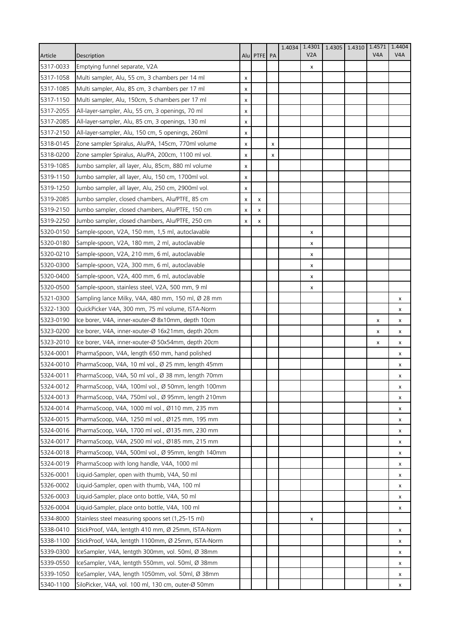|           |                                                    |   |              |   | 1.4034 | 1.4301 | 1.4305 | 1.4310 1.4571    | 1.4404           |
|-----------|----------------------------------------------------|---|--------------|---|--------|--------|--------|------------------|------------------|
| Article   | Description                                        |   | Alul PTFE PA |   |        | V2A    |        | V <sub>4</sub> A | V <sub>4</sub> A |
| 5317-0033 | Emptying funnel separate, V2A                      |   |              |   |        | x      |        |                  |                  |
| 5317-1058 | Multi sampler, Alu, 55 cm, 3 chambers per 14 ml    | x |              |   |        |        |        |                  |                  |
| 5317-1085 | Multi sampler, Alu, 85 cm, 3 chambers per 17 ml    | x |              |   |        |        |        |                  |                  |
| 5317-1150 | Multi sampler, Alu, 150cm, 5 chambers per 17 ml    | x |              |   |        |        |        |                  |                  |
| 5317-2055 | All-layer-sampler, Alu, 55 cm, 3 openings, 70 ml   | X |              |   |        |        |        |                  |                  |
| 5317-2085 | All-layer-sampler, Alu, 85 cm, 3 openings, 130 ml  | x |              |   |        |        |        |                  |                  |
| 5317-2150 | All-layer-sampler, Alu, 150 cm, 5 openings, 260ml  | x |              |   |        |        |        |                  |                  |
| 5318-0145 | Zone sampler Spiralus, Alu/PA, 145cm, 770ml volume | x |              | x |        |        |        |                  |                  |
| 5318-0200 | Zone sampler Spiralus, Alu/PA, 200cm, 1100 ml vol. | x |              | x |        |        |        |                  |                  |
| 5319-1085 | Jumbo sampler, all layer, Alu, 85cm, 880 ml volume | x |              |   |        |        |        |                  |                  |
| 5319-1150 | Jumbo sampler, all layer, Alu, 150 cm, 1700ml vol. | x |              |   |        |        |        |                  |                  |
| 5319-1250 | Jumbo sampler, all layer, Alu, 250 cm, 2900ml vol. | x |              |   |        |        |        |                  |                  |
| 5319-2085 | Jumbo sampler, closed chambers, Alu/PTFE, 85 cm    | x | x            |   |        |        |        |                  |                  |
| 5319-2150 | Jumbo sampler, closed chambers, Alu/PTFE, 150 cm   | x | x            |   |        |        |        |                  |                  |
| 5319-2250 | Jumbo sampler, closed chambers, Alu/PTFE, 250 cm   | x | х            |   |        |        |        |                  |                  |
| 5320-0150 | Sample-spoon, V2A, 150 mm, 1,5 ml, autoclavable    |   |              |   |        | х      |        |                  |                  |
| 5320-0180 | Sample-spoon, V2A, 180 mm, 2 ml, autoclavable      |   |              |   |        | x      |        |                  |                  |
| 5320-0210 | Sample-spoon, V2A, 210 mm, 6 ml, autoclavable      |   |              |   |        | x      |        |                  |                  |
| 5320-0300 | Sample-spoon, V2A, 300 mm, 6 ml, autoclavable      |   |              |   |        | x      |        |                  |                  |
| 5320-0400 | Sample-spoon, V2A, 400 mm, 6 ml, autoclavable      |   |              |   |        | x      |        |                  |                  |
| 5320-0500 | Sample-spoon, stainless steel, V2A, 500 mm, 9 ml   |   |              |   |        | x      |        |                  |                  |
| 5321-0300 | Sampling lance Milky, V4A, 480 mm, 150 ml, Ø 28 mm |   |              |   |        |        |        |                  | x                |
| 5322-1300 | QuickPicker V4A, 300 mm, 75 ml volume, ISTA-Norm   |   |              |   |        |        |        |                  | x                |
| 5323-0190 | Ice borer, V4A, inner-xouter-Ø 8x10mm, depth 10cm  |   |              |   |        |        |        | X                | x                |
| 5323-0200 | Ice borer, V4A, inner-xouter-Ø 16x21mm, depth 20cm |   |              |   |        |        |        | x                | x                |
| 5323-2010 | Ice borer, V4A, inner-xouter-Ø 50x54mm, depth 20cm |   |              |   |        |        |        | x                | x                |
| 5324-0001 | PharmaSpoon, V4A, length 650 mm, hand polished     |   |              |   |        |        |        |                  | x                |
| 5324-0010 | PharmaScoop, V4A, 10 ml vol., Ø 25 mm, length 45mm |   |              |   |        |        |        |                  | х                |
| 5324-0011 | PharmaScoop, V4A, 50 ml vol., Ø 38 mm, length 70mm |   |              |   |        |        |        |                  | x                |
| 5324-0012 | PharmaScoop, V4A, 100ml vol., Ø 50mm, length 100mm |   |              |   |        |        |        |                  | x                |
| 5324-0013 | PharmaScoop, V4A, 750ml vol., Ø 95mm, length 210mm |   |              |   |        |        |        |                  | x                |
| 5324-0014 | PharmaScoop, V4A, 1000 ml vol., Ø110 mm, 235 mm    |   |              |   |        |        |        |                  | х                |
| 5324-0015 | PharmaScoop, V4A, 1250 ml vol., Ø125 mm, 195 mm    |   |              |   |        |        |        |                  | x                |
| 5324-0016 | PharmaScoop, V4A, 1700 ml vol., Ø135 mm, 230 mm    |   |              |   |        |        |        |                  | x                |
| 5324-0017 | PharmaScoop, V4A, 2500 ml vol., Ø185 mm, 215 mm    |   |              |   |        |        |        |                  | x                |
| 5324-0018 | PharmaScoop, V4A, 500ml vol., Ø 95mm, length 140mm |   |              |   |        |        |        |                  | x                |
| 5324-0019 | PharmaScoop with long handle, V4A, 1000 ml         |   |              |   |        |        |        |                  | x                |
| 5326-0001 | Liquid-Sampler, open with thumb, V4A, 50 ml        |   |              |   |        |        |        |                  | x                |
| 5326-0002 | Liquid-Sampler, open with thumb, V4A, 100 ml       |   |              |   |        |        |        |                  | x                |
| 5326-0003 | Liquid-Sampler, place onto bottle, V4A, 50 ml      |   |              |   |        |        |        |                  | х                |
| 5326-0004 | Liquid-Sampler, place onto bottle, V4A, 100 ml     |   |              |   |        |        |        |                  | x                |
| 5334-8000 | Stainless steel measuring spoons set (1,25-15 ml)  |   |              |   |        | x      |        |                  |                  |
| 5338-0410 | StickProof, V4A, lentgth 410 mm, Ø 25mm, ISTA-Norm |   |              |   |        |        |        |                  | x                |
| 5338-1100 | StickProof, V4A, lentgth 1100mm, Ø 25mm, ISTA-Norm |   |              |   |        |        |        |                  | x                |
| 5339-0300 | IceSampler, V4A, lentgth 300mm, vol. 50ml, Ø 38mm  |   |              |   |        |        |        |                  | x                |
| 5339-0550 | IceSampler, V4A, lentgth 550mm, vol. 50ml, Ø 38mm  |   |              |   |        |        |        |                  | x                |
| 5339-1050 | IceSampler, V4A, length 1050mm, vol. 50ml, Ø 38mm  |   |              |   |        |        |        |                  | х                |
| 5340-1100 | SiloPicker, V4A, vol. 100 ml, 130 cm, outer-Ø 50mm |   |              |   |        |        |        |                  | x                |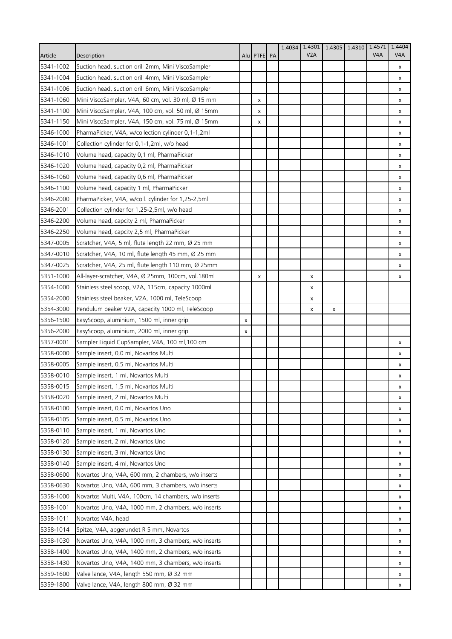|           |                                                      |                |             | 1.4034 | 1.4301 | 1.4305 | 1.4310 | 1.4571           | 1.4404           |
|-----------|------------------------------------------------------|----------------|-------------|--------|--------|--------|--------|------------------|------------------|
| Article   | Description                                          |                | Alu PTFE PA |        | V2A    |        |        | V <sub>4</sub> A | V <sub>4</sub> A |
| 5341-1002 | Suction head, suction drill 2mm, Mini ViscoSampler   |                |             |        |        |        |        |                  | х                |
| 5341-1004 | Suction head, suction drill 4mm, Mini ViscoSampler   |                |             |        |        |        |        |                  | x                |
| 5341-1006 | Suction head, suction drill 6mm, Mini ViscoSampler   |                |             |        |        |        |        |                  | x                |
| 5341-1060 | Mini ViscoSampler, V4A, 60 cm, vol. 30 ml, Ø 15 mm   |                | x           |        |        |        |        |                  | x                |
| 5341-1100 | Mini ViscoSampler, V4A, 100 cm, vol. 50 ml, Ø 15mm   |                | x           |        |        |        |        |                  | x                |
| 5341-1150 | Mini ViscoSampler, V4A, 150 cm, vol. 75 ml, Ø 15mm   |                | x           |        |        |        |        |                  | x                |
| 5346-1000 | PharmaPicker, V4A, w/collection cylinder 0,1-1,2ml   |                |             |        |        |        |        |                  | x                |
| 5346-1001 | Collection cylinder for 0,1-1,2ml, w/o head          |                |             |        |        |        |        |                  | x                |
| 5346-1010 | Volume head, capacity 0,1 ml, PharmaPicker           |                |             |        |        |        |        |                  | x                |
| 5346-1020 | Volume head, capacity 0,2 ml, PharmaPicker           |                |             |        |        |        |        |                  | x                |
| 5346-1060 | Volume head, capacity 0,6 ml, PharmaPicker           |                |             |        |        |        |        |                  | x                |
| 5346-1100 | Volume head, capacity 1 ml, PharmaPicker             |                |             |        |        |        |        |                  | x                |
| 5346-2000 | PharmaPicker, V4A, w/coll. cylinder for 1,25-2,5ml   |                |             |        |        |        |        |                  | x                |
| 5346-2001 | Collection cylinder for 1,25-2,5ml, w/o head         |                |             |        |        |        |        |                  | x                |
| 5346-2200 | Volume head, capcity 2 ml, PharmaPicker              |                |             |        |        |        |        |                  | x                |
| 5346-2250 | Volume head, capcity 2,5 ml, PharmaPicker            |                |             |        |        |        |        |                  | х                |
| 5347-0005 | Scratcher, V4A, 5 ml, flute length 22 mm, Ø 25 mm    |                |             |        |        |        |        |                  | x                |
| 5347-0010 | Scratcher, V4A, 10 ml, flute length 45 mm, Ø 25 mm   |                |             |        |        |        |        |                  | x                |
| 5347-0025 | Scratcher, V4A, 25 ml, flute length 110 mm, Ø 25mm   |                |             |        |        |        |        |                  | x                |
| 5351-1000 | All-layer-scratcher, V4A, Ø 25mm, 100cm, vol.180ml   |                | х           |        | x      |        |        |                  | x                |
| 5354-1000 | Stainless steel scoop, V2A, 115cm, capacity 1000ml   |                |             |        | x      |        |        |                  |                  |
| 5354-2000 | Stainless steel beaker, V2A, 1000 ml, TeleScoop      |                |             |        | х      |        |        |                  |                  |
| 5354-3000 | Pendulum beaker V2A, capacity 1000 ml, TeleScoop     |                |             |        | x      | x      |        |                  |                  |
| 5356-1500 | EasyScoop, aluminium, 1500 ml, inner grip            | $\pmb{\times}$ |             |        |        |        |        |                  |                  |
| 5356-2000 | EasyScoop, aluminium, 2000 ml, inner grip            | x              |             |        |        |        |        |                  |                  |
| 5357-0001 | Sampler Liquid CupSampler, V4A, 100 ml, 100 cm       |                |             |        |        |        |        |                  | x                |
| 5358-0000 | Sample insert, 0,0 ml, Novartos Multi                |                |             |        |        |        |        |                  | x                |
| 5358-0005 | Sample insert, 0,5 ml, Novartos Multi                |                |             |        |        |        |        |                  | х                |
| 5358-0010 | Sample insert, 1 ml, Novartos Multi                  |                |             |        |        |        |        |                  | x                |
| 5358-0015 | Sample insert, 1,5 ml, Novartos Multi                |                |             |        |        |        |        |                  | x                |
| 5358-0020 | Sample insert, 2 ml, Novartos Multi                  |                |             |        |        |        |        |                  | x                |
| 5358-0100 | Sample insert, 0,0 ml, Novartos Uno                  |                |             |        |        |        |        |                  | х                |
| 5358-0105 | Sample insert, 0,5 ml, Novartos Uno                  |                |             |        |        |        |        |                  | x                |
| 5358-0110 | Sample insert, 1 ml, Novartos Uno                    |                |             |        |        |        |        |                  | x                |
| 5358-0120 | Sample insert, 2 ml, Novartos Uno                    |                |             |        |        |        |        |                  | х                |
| 5358-0130 | Sample insert, 3 ml, Novartos Uno                    |                |             |        |        |        |        |                  | x                |
| 5358-0140 | Sample insert, 4 ml, Novartos Uno                    |                |             |        |        |        |        |                  | x                |
| 5358-0600 | Novartos Uno, V4A, 600 mm, 2 chambers, w/o inserts   |                |             |        |        |        |        |                  | x                |
| 5358-0630 | Novartos Uno, V4A, 600 mm, 3 chambers, w/o inserts   |                |             |        |        |        |        |                  | x                |
| 5358-1000 | Novartos Multi, V4A, 100cm, 14 chambers, w/o inserts |                |             |        |        |        |        |                  | x                |
| 5358-1001 | Novartos Uno, V4A, 1000 mm, 2 chambers, w/o inserts  |                |             |        |        |        |        |                  | x                |
| 5358-1011 | Novartos V4A, head                                   |                |             |        |        |        |        |                  | х                |
| 5358-1014 | Spitze, V4A, abgerundet R 5 mm, Novartos             |                |             |        |        |        |        |                  | x                |
| 5358-1030 | Novartos Uno, V4A, 1000 mm, 3 chambers, w/o inserts  |                |             |        |        |        |        |                  | x                |
| 5358-1400 | Novartos Uno, V4A, 1400 mm, 2 chambers, w/o inserts  |                |             |        |        |        |        |                  | x                |
| 5358-1430 | Novartos Uno, V4A, 1400 mm, 3 chambers, w/o inserts  |                |             |        |        |        |        |                  | x                |
| 5359-1600 | Valve lance, V4A, length 550 mm, Ø 32 mm             |                |             |        |        |        |        |                  | х                |
| 5359-1800 | Valve lance, V4A, length 800 mm, Ø 32 mm             |                |             |        |        |        |        |                  | x                |